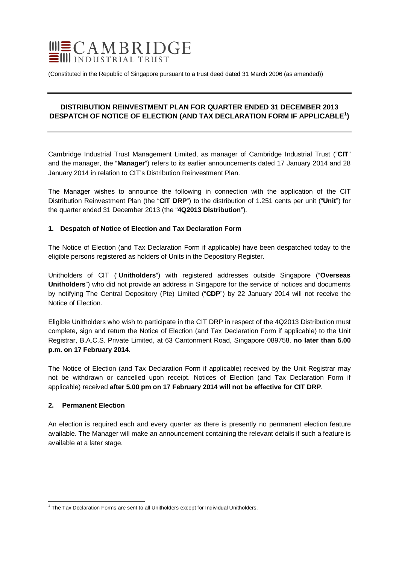

(Constituted in the Republic of Singapore pursuant to a trust deed dated 31 March 2006 (as amended))

# **DISTRIBUTION REINVESTMENT PLAN FOR QUARTER ENDED 31 DECEMBER 2013 DESPATCH OF NOTICE OF ELECTION (AND TAX DECLARATION FORM IF APPLICABLE[1](#page-0-0) )**

Cambridge Industrial Trust Management Limited, as manager of Cambridge Industrial Trust ("**CIT**" and the manager, the "**Manager**") refers to its earlier announcements dated 17 January 2014 and 28 January 2014 in relation to CIT's Distribution Reinvestment Plan.

The Manager wishes to announce the following in connection with the application of the CIT Distribution Reinvestment Plan (the "**CIT DRP**") to the distribution of 1.251 cents per unit ("**Unit**") for the quarter ended 31 December 2013 (the "**4Q2013 Distribution**").

## **1. Despatch of Notice of Election and Tax Declaration Form**

The Notice of Election (and Tax Declaration Form if applicable) have been despatched today to the eligible persons registered as holders of Units in the Depository Register.

Unitholders of CIT ("**Unitholders**") with registered addresses outside Singapore ("**Overseas Unitholders**") who did not provide an address in Singapore for the service of notices and documents by notifying The Central Depository (Pte) Limited ("**CDP**") by 22 January 2014 will not receive the Notice of Election.

Eligible Unitholders who wish to participate in the CIT DRP in respect of the 4Q2013 Distribution must complete, sign and return the Notice of Election (and Tax Declaration Form if applicable) to the Unit Registrar, B.A.C.S. Private Limited, at 63 Cantonment Road, Singapore 089758, **no later than 5.00 p.m. on 17 February 2014**.

The Notice of Election (and Tax Declaration Form if applicable) received by the Unit Registrar may not be withdrawn or cancelled upon receipt. Notices of Election (and Tax Declaration Form if applicable) received **after 5.00 pm on 17 February 2014 will not be effective for CIT DRP**.

### **2. Permanent Election**

An election is required each and every quarter as there is presently no permanent election feature available. The Manager will make an announcement containing the relevant details if such a feature is available at a later stage.

<span id="page-0-0"></span> $<sup>1</sup>$  The Tax Declaration Forms are sent to all Unitholders except for Individual Unitholders.</sup>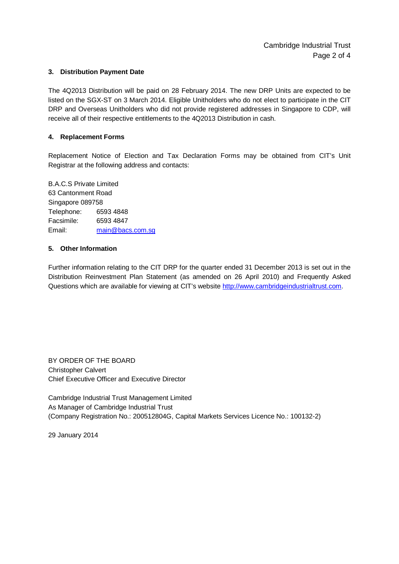### **3. Distribution Payment Date**

The 4Q2013 Distribution will be paid on 28 February 2014. The new DRP Units are expected to be listed on the SGX-ST on 3 March 2014. Eligible Unitholders who do not elect to participate in the CIT DRP and Overseas Unitholders who did not provide registered addresses in Singapore to CDP, will receive all of their respective entitlements to the 4Q2013 Distribution in cash.

#### **4. Replacement Forms**

Replacement Notice of Election and Tax Declaration Forms may be obtained from CIT's Unit Registrar at the following address and contacts:

B.A.C.S Private Limited 63 Cantonment Road Singapore 089758 Telephone: 6593 4848 Facsimile: 6593 4847 Email: [main@bacs.com.sg](mailto:main@bacs.com.sg)

### **5. Other Information**

Further information relating to the CIT DRP for the quarter ended 31 December 2013 is set out in the Distribution Reinvestment Plan Statement (as amended on 26 April 2010) and Frequently Asked Questions which are available for viewing at CIT's website [http://www.cambridgeindustrialtrust.com.](http://www.cambridgeindustrialtrust.com/)

BY ORDER OF THE BOARD Christopher Calvert Chief Executive Officer and Executive Director

Cambridge Industrial Trust Management Limited As Manager of Cambridge Industrial Trust (Company Registration No.: 200512804G, Capital Markets Services Licence No.: 100132-2)

29 January 2014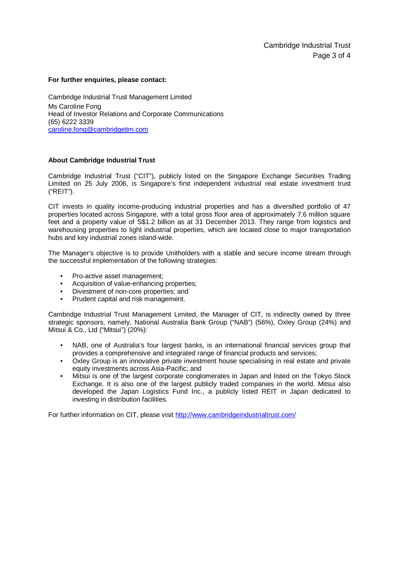#### **For further enquiries, please contact:**

Cambridge Industrial Trust Management Limited Ms Caroline Fong Head of Investor Relations and Corporate Communications (65) 6222 3339 [caroline.fong@cambridgeitm.com](mailto:caroline.fong@cambridgeitm.com)

#### **About Cambridge Industrial Trust**

Cambridge Industrial Trust ("CIT"), publicly listed on the Singapore Exchange Securities Trading Limited on 25 July 2006, is Singapore's first independent industrial real estate investment trust ("REIT").

CIT invests in quality income-producing industrial properties and has a diversified portfolio of 47 properties located across Singapore, with a total gross floor area of approximately 7.6 million square feet and a property value of S\$1.2 billion as at 31 December 2013. They range from logistics and warehousing properties to light industrial properties, which are located close to major transportation hubs and key industrial zones island-wide.

The Manager's objective is to provide Unitholders with a stable and secure income stream through the successful implementation of the following strategies:

- Pro-active asset management;
- Acquisition of value-enhancing properties;
- Divestment of non-core properties; and
- Prudent capital and risk management.

Cambridge Industrial Trust Management Limited, the Manager of CIT, is indirectly owned by three strategic sponsors, namely, National Australia Bank Group ("NAB") (56%), Oxley Group (24%) and Mitsui & Co., Ltd ("Mitsui") (20%):

- NAB, one of Australia's four largest banks, is an international financial services group that provides a comprehensive and integrated range of financial products and services;
- Oxley Group is an innovative private investment house specialising in real estate and private equity investments across Asia-Pacific; and
- Mitsui is one of the largest corporate conglomerates in Japan and listed on the Tokyo Stock Exchange. It is also one of the largest publicly traded companies in the world. Mitsui also developed the Japan Logistics Fund Inc., a publicly listed REIT in Japan dedicated to investing in distribution facilities.

For further information on CIT, please visit<http://www.cambridgeindustrialtrust.com/>